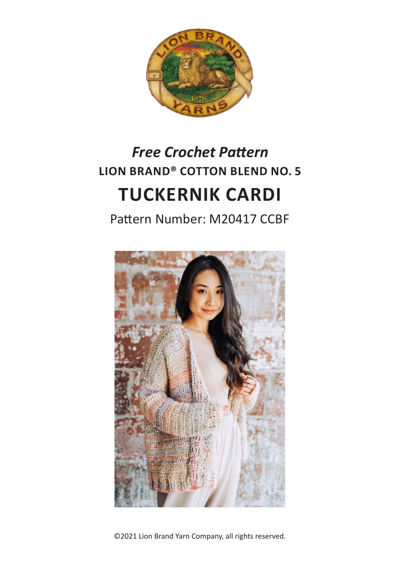

# **LION BRAND® COTTON BLEND NO. 5 TUCKERNIK CARDI** *Free Crochet Pattern*

Pattern Number: M20417 CCBF



©2021 Lion Brand Yarn Company, all rights reserved.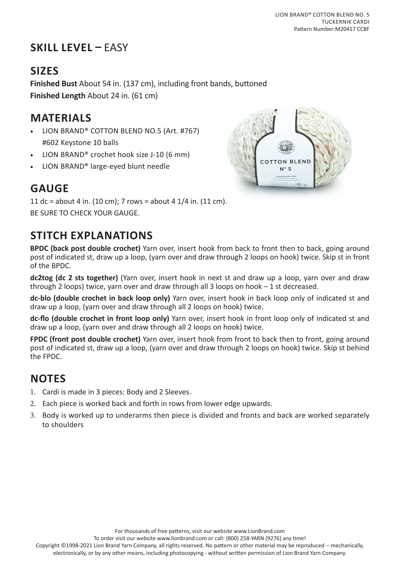# **SKILL LEVEL –** EASY

## **SIZES**

**Finished Bust** About 54 in. (137 cm), including front bands, buttoned **Finished Length** About 24 in. (61 cm)

## **MATERIALS**

- LION BRAND® COTTON BLEND NO.5 (Art. #767) #602 Keystone 10 balls
- LION BRAND® crochet hook size J-10 (6 mm)
- LION BRAND® large-eyed blunt needle

# **GAUGE**

11 dc = about 4 in. (10 cm); 7 rows = about 4  $1/4$  in. (11 cm). BE SURE TO CHECK YOUR GAUGE.

# **STITCH EXPLANATIONS**

**BPDC (back post double crochet)** Yarn over, insert hook from back to front then to back, going around post of indicated st, draw up a loop, (yarn over and draw through 2 loops on hook) twice. Skip st in front of the BPDC.

**dc2tog (dc 2 sts together)** (Yarn over, insert hook in next st and draw up a loop, yarn over and draw through 2 loops) twice, yarn over and draw through all 3 loops on hook – 1 st decreased.

**dc-blo (double crochet in back loop only)** Yarn over, insert hook in back loop only of indicated st and draw up a loop, (yarn over and draw through all 2 loops on hook) twice.

**dc-flo (double crochet in front loop only)** Yarn over, insert hook in front loop only of indicated st and draw up a loop, (yarn over and draw through all 2 loops on hook) twice.

**FPDC (front post double crochet)** Yarn over, insert hook from front to back then to front, going around post of indicated st, draw up a loop, (yarn over and draw through 2 loops on hook) twice. Skip st behind the FPDC.

## **NOTES**

- 1. Cardi is made in 3 pieces: Body and 2 Sleeves.
- 2. Each piece is worked back and forth in rows from lower edge upwards.
- 3. Body is worked up to underarms then piece is divided and fronts and back are worked separately to shoulders

For thousands of free patterns, visit our website www.LionBrand.com

To order visit our website www.lionbrand.com or call: (800) 258-YARN (9276) any time!

Copyright ©1998-2021 Lion Brand Yarn Company, all rights reserved. No pattern or other material may be reproduced -- mechanically,



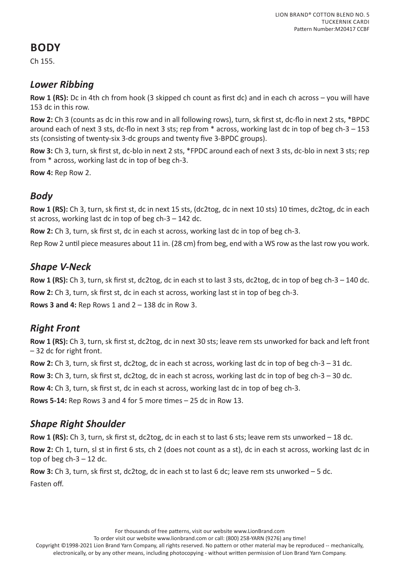## **BODY**

Ch 155.

#### *Lower Ribbing*

**Row 1 (RS):** Dc in 4th ch from hook (3 skipped ch count as first dc) and in each ch across – you will have 153 dc in this row.

**Row 2:** Ch 3 (counts as dc in this row and in all following rows), turn, sk first st, dc-flo in next 2 sts, \*BPDC around each of next 3 sts, dc-flo in next 3 sts; rep from \* across, working last dc in top of beg ch-3 – 153 sts (consisting of twenty-six 3-dc groups and twenty five 3-BPDC groups).

**Row 3:** Ch 3, turn, sk first st, dc-blo in next 2 sts, \*FPDC around each of next 3 sts, dc-blo in next 3 sts; rep from \* across, working last dc in top of beg ch-3.

**Row 4:** Rep Row 2.

#### *Body*

**Row 1 (RS):** Ch 3, turn, sk first st, dc in next 15 sts, (dc2tog, dc in next 10 sts) 10 times, dc2tog, dc in each st across, working last dc in top of beg  $ch-3 - 142$  dc.

**Row 2:** Ch 3, turn, sk first st, dc in each st across, working last dc in top of beg ch-3.

Rep Row 2 until piece measures about 11 in. (28 cm) from beg, end with a WS row as the last row you work.

#### *Shape V-Neck*

**Row 1 (RS):** Ch 3, turn, sk first st, dc2tog, dc in each st to last 3 sts, dc2tog, dc in top of beg ch-3 – 140 dc. **Row 2:** Ch 3, turn, sk first st, dc in each st across, working last st in top of beg ch-3.

**Rows 3 and 4:** Rep Rows 1 and 2 – 138 dc in Row 3.

#### *Right Front*

**Row 1 (RS):** Ch 3, turn, sk first st, dc2tog, dc in next 30 sts; leave rem sts unworked for back and left front – 32 dc for right front.

**Row 2:** Ch 3, turn, sk first st, dc2tog, dc in each st across, working last dc in top of beg ch-3 – 31 dc.

**Row 3:** Ch 3, turn, sk first st, dc2tog, dc in each st across, working last dc in top of beg ch-3 – 30 dc.

**Row 4:** Ch 3, turn, sk first st, dc in each st across, working last dc in top of beg ch-3.

**Rows 5-14:** Rep Rows 3 and 4 for 5 more times – 25 dc in Row 13.

#### *Shape Right Shoulder*

**Row 1 (RS):** Ch 3, turn, sk first st, dc2tog, dc in each st to last 6 sts; leave rem sts unworked – 18 dc.

**Row 2:** Ch 1, turn, sl st in first 6 sts, ch 2 (does not count as a st), dc in each st across, working last dc in top of beg  $ch-3-12$  dc.

**Row 3:** Ch 3, turn, sk first st, dc2tog, dc in each st to last 6 dc; leave rem sts unworked – 5 dc.

Fasten off.

To order visit our website www.lionbrand.com or call: (800) 258-YARN (9276) any time!

Copyright ©1998-2021 Lion Brand Yarn Company, all rights reserved. No pattern or other material may be reproduced -- mechanically, electronically, or by any other means, including photocopying - without written permission of Lion Brand Yarn Company.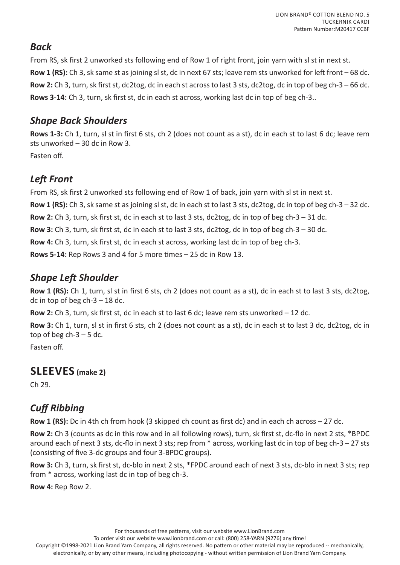#### *Back*

From RS, sk first 2 unworked sts following end of Row 1 of right front, join yarn with sl st in next st. **Row 1 (RS):** Ch 3, sk same st as joining sl st, dc in next 67 sts; leave rem sts unworked for left front – 68 dc. **Row 2:** Ch 3, turn, sk first st, dc2tog, dc in each st across to last 3 sts, dc2tog, dc in top of beg ch-3 – 66 dc. **Rows 3-14:** Ch 3, turn, sk first st, dc in each st across, working last dc in top of beg ch-3..

#### *Shape Back Shoulders*

**Rows 1-3:** Ch 1, turn, sl st in first 6 sts, ch 2 (does not count as a st), dc in each st to last 6 dc; leave rem sts unworked – 30 dc in Row 3.

Fasten off.

## *Left Front*

From RS, sk first 2 unworked sts following end of Row 1 of back, join yarn with sl st in next st. **Row 1 (RS):** Ch 3, sk same st as joining sl st, dc in each st to last 3 sts, dc2tog, dc in top of beg ch-3 – 32 dc. **Row 2:** Ch 3, turn, sk first st, dc in each st to last 3 sts, dc2tog, dc in top of beg ch-3 – 31 dc. **Row 3:** Ch 3, turn, sk first st, dc in each st to last 3 sts, dc2tog, dc in top of beg ch-3 – 30 dc. **Row 4:** Ch 3, turn, sk first st, dc in each st across, working last dc in top of beg ch-3. **Rows 5-14:** Rep Rows 3 and 4 for 5 more times – 25 dc in Row 13.

#### *Shape Left Shoulder*

**Row 1 (RS):** Ch 1, turn, sl st in first 6 sts, ch 2 (does not count as a st), dc in each st to last 3 sts, dc2tog, dc in top of beg  $ch-3-18$  dc.

**Row 2:** Ch 3, turn, sk first st, dc in each st to last 6 dc; leave rem sts unworked – 12 dc.

**Row 3:** Ch 1, turn, sl st in first 6 sts, ch 2 (does not count as a st), dc in each st to last 3 dc, dc2tog, dc in top of beg  $ch-3-5$  dc.

Fasten off.

#### **SLEEVES (make 2)**

Ch 29.

### *Cuff Ribbing*

**Row 1 (RS):** Dc in 4th ch from hook (3 skipped ch count as first dc) and in each ch across – 27 dc.

**Row 2:** Ch 3 (counts as dc in this row and in all following rows), turn, sk first st, dc-flo in next 2 sts, \*BPDC around each of next 3 sts, dc-flo in next 3 sts; rep from \* across, working last dc in top of beg ch-3 – 27 sts (consisting of five 3-dc groups and four 3-BPDC groups).

**Row 3:** Ch 3, turn, sk first st, dc-blo in next 2 sts, \*FPDC around each of next 3 sts, dc-blo in next 3 sts; rep from \* across, working last dc in top of beg ch-3.

**Row 4:** Rep Row 2.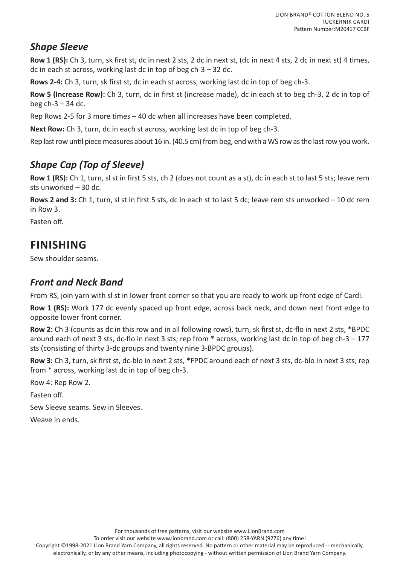#### *Shape Sleeve*

**Row 1 (RS):** Ch 3, turn, sk first st, dc in next 2 sts, 2 dc in next st, (dc in next 4 sts, 2 dc in next st) 4 times, dc in each st across, working last dc in top of beg  $ch-3 - 32$  dc.

**Rows 2-4:** Ch 3, turn, sk first st, dc in each st across, working last dc in top of beg ch-3.

**Row 5 (Increase Row):** Ch 3, turn, dc in first st (increase made), dc in each st to beg ch-3, 2 dc in top of beg  $ch-3 - 34$  dc.

Rep Rows 2-5 for 3 more times – 40 dc when all increases have been completed.

**Next Row:** Ch 3, turn, dc in each st across, working last dc in top of beg ch-3.

Rep last row until piece measures about 16 in. (40.5 cm) from beg, end with a WS row as the last row you work.

## *Shape Cap (Top of Sleeve)*

**Row 1 (RS):** Ch 1, turn, sl st in first 5 sts, ch 2 (does not count as a st), dc in each st to last 5 sts; leave rem sts unworked – 30 dc.

**Rows 2 and 3:** Ch 1, turn, sl st in first 5 sts, dc in each st to last 5 dc; leave rem sts unworked – 10 dc rem in Row 3.

Fasten off.

## **FINISHING**

Sew shoulder seams.

#### *Front and Neck Band*

From RS, join yarn with sl st in lower front corner so that you are ready to work up front edge of Cardi.

**Row 1 (RS):** Work 177 dc evenly spaced up front edge, across back neck, and down next front edge to opposite lower front corner.

**Row 2:** Ch 3 (counts as dc in this row and in all following rows), turn, sk first st, dc-flo in next 2 sts, \*BPDC around each of next 3 sts, dc-flo in next 3 sts; rep from \* across, working last dc in top of beg ch-3 – 177 sts (consisting of thirty 3-dc groups and twenty nine 3-BPDC groups).

**Row 3:** Ch 3, turn, sk first st, dc-blo in next 2 sts, \*FPDC around each of next 3 sts, dc-blo in next 3 sts; rep from \* across, working last dc in top of beg ch-3.

Row 4: Rep Row 2.

Fasten off.

Sew Sleeve seams. Sew in Sleeves.

Weave in ends.

For thousands of free patterns, visit our website www.LionBrand.com

To order visit our website www.lionbrand.com or call: (800) 258-YARN (9276) any time!

Copyright ©1998-2021 Lion Brand Yarn Company, all rights reserved. No pattern or other material may be reproduced -- mechanically, electronically, or by any other means, including photocopying - without written permission of Lion Brand Yarn Company.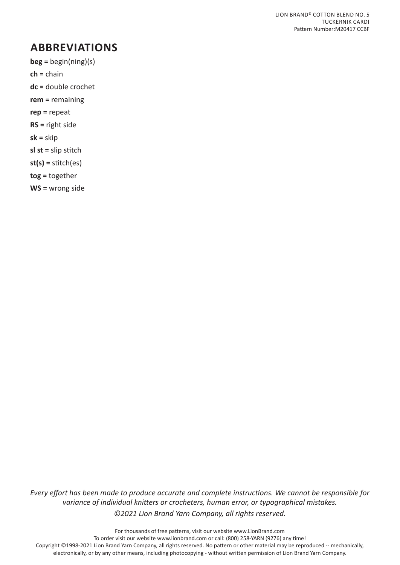## **ABBREVIATIONS**

**beg =** begin(ning)(s)

**ch =** chain

- **dc =** double crochet
- **rem =** remaining
- **rep =** repeat
- **RS =** right side

**sk =** skip

**sl st =** slip stitch

**st(s) =** stitch(es)

**tog =** together

**WS =** wrong side

*Every effort has been made to produce accurate and complete instructions. We cannot be responsible for variance of individual knitters or crocheters, human error, or typographical mistakes. ©2021 Lion Brand Yarn Company, all rights reserved.*

For thousands of free patterns, visit our website www.LionBrand.com To order visit our website www.lionbrand.com or call: (800) 258-YARN (9276) any time! Copyright ©1998-2021 Lion Brand Yarn Company, all rights reserved. No pattern or other material may be reproduced -- mechanically, electronically, or by any other means, including photocopying - without written permission of Lion Brand Yarn Company.